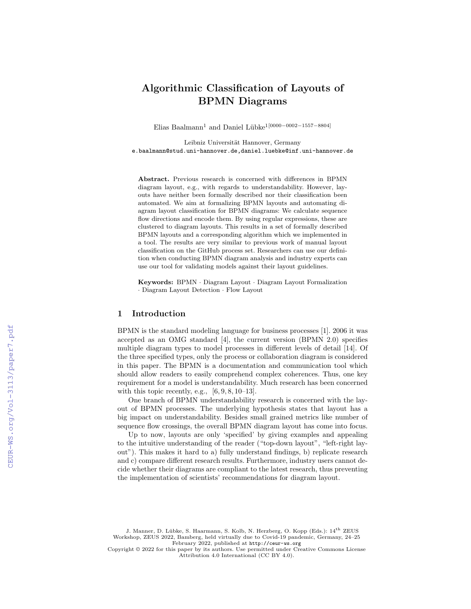# Algorithmic Classification of Layouts of BPMN Diagrams

Elias Baalmann<sup>1</sup> and Daniel Lübke<sup>1[0000–0002–1557–8804]</sup>

Leibniz Universität Hannover, Germany e.baalmann@stud.uni-hannover.de,daniel.luebke@inf.uni-hannover.de

Abstract. Previous research is concerned with differences in BPMN diagram layout, e.g., with regards to understandability. However, layouts have neither been formally described nor their classification been automated. We aim at formalizing BPMN layouts and automating diagram layout classification for BPMN diagrams: We calculate sequence flow directions and encode them. By using regular expressions, these are clustered to diagram layouts. This results in a set of formally described BPMN layouts and a corresponding algorithm which we implemented in a tool. The results are very similar to previous work of manual layout classification on the GitHub process set. Researchers can use our definition when conducting BPMN diagram analysis and industry experts can use our tool for validating models against their layout guidelines.

Keywords: BPMN · Diagram Layout · Diagram Layout Formalization · Diagram Layout Detection · Flow Layout

# 1 Introduction

BPMN is the standard modeling language for business processes [1]. 2006 it was accepted as an OMG standard [4], the current version (BPMN 2.0) specifies multiple diagram types to model processes in different levels of detail [14]. Of the three specified types, only the process or collaboration diagram is considered in this paper. The BPMN is a documentation and communication tool which should allow readers to easily comprehend complex coherences. Thus, one key requirement for a model is understandability. Much research has been concerned with this topic recently, e.g.,  $[6, 9, 8, 10-13]$ .

One branch of BPMN understandability research is concerned with the layout of BPMN processes. The underlying hypothesis states that layout has a big impact on understandability. Besides small grained metrics like number of sequence flow crossings, the overall BPMN diagram layout has come into focus.

Up to now, layouts are only 'specified' by giving examples and appealing to the intuitive understanding of the reader ("top-down layout", "left-right layout"). This makes it hard to a) fully understand findings, b) replicate research and c) compare different research results. Furthermore, industry users cannot decide whether their diagrams are compliant to the latest research, thus preventing the implementation of scientists' recommendations for diagram layout.

J. Manner, D. Lübke, S. Haarmann, S. Kolb, N. Herzberg, O. Kopp (Eds.): 14th ZEUS Workshop, ZEUS 2022, Bamberg, held virtually due to Covid-19 pandemic, Germany, 24–25 February 2022, published at <http://ceur-ws.org>

Copyright © 2022 for this paper by its authors. Use permitted under Creative Commons License Attribution 4.0 International (CC BY 4.0).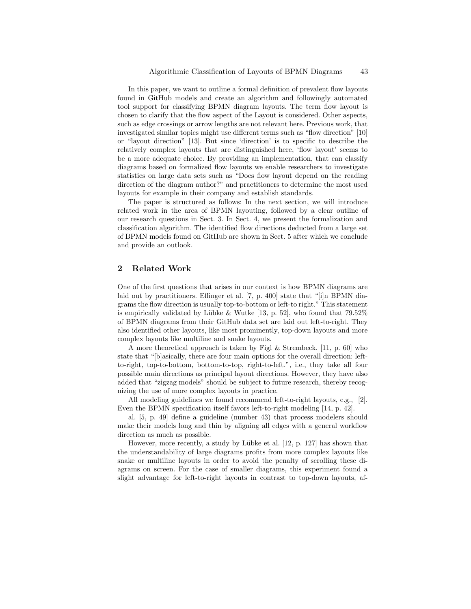In this paper, we want to outline a formal definition of prevalent flow layouts found in GitHub models and create an algorithm and followingly automated tool support for classifying BPMN diagram layouts. The term flow layout is chosen to clarify that the flow aspect of the Layout is considered. Other aspects, such as edge crossings or arrow lengths are not relevant here. Previous work, that investigated similar topics might use different terms such as "flow direction" [10] or "layout direction" [13]. But since 'direction' is to specific to describe the relatively complex layouts that are distinguished here, 'flow layout' seems to be a more adequate choice. By providing an implementation, that can classify diagrams based on formalized flow layouts we enable researchers to investigate statistics on large data sets such as "Does flow layout depend on the reading direction of the diagram author?" and practitioners to determine the most used layouts for example in their company and establish standards.

The paper is structured as follows: In the next section, we will introduce related work in the area of BPMN layouting, followed by a clear outline of our research questions in Sect. 3. In Sect. 4, we present the formalization and classification algorithm. The identified flow directions deducted from a large set of BPMN models found on GitHub are shown in Sect. 5 after which we conclude and provide an outlook.

### 2 Related Work

One of the first questions that arises in our context is how BPMN diagrams are laid out by practitioners. Effinger et al. [7, p. 400] state that "[i]n BPMN diagrams the flow direction is usually top-to-bottom or left-to right." This statement is empirically validated by Lübke & Wutke [13, p. 52], who found that  $79.52\%$ of BPMN diagrams from their GitHub data set are laid out left-to-right. They also identified other layouts, like most prominently, top-down layouts and more complex layouts like multiline and snake layouts.

A more theoretical approach is taken by Figl & Strembeck. [11, p. 60] who state that "[b]asically, there are four main options for the overall direction: leftto-right, top-to-bottom, bottom-to-top, right-to-left.", i.e., they take all four possible main directions as principal layout directions. However, they have also added that "zigzag models" should be subject to future research, thereby recognizing the use of more complex layouts in practice.

All modeling guidelines we found recommend left-to-right layouts, e.g., [2]. Even the BPMN specification itself favors left-to-right modeling [14, p. 42].

al. [5, p. 49] define a guideline (number 43) that process modelers should make their models long and thin by aligning all edges with a general workflow direction as much as possible.

However, more recently, a study by Lübke et al. [12, p. 127] has shown that the understandability of large diagrams profits from more complex layouts like snake or multiline layouts in order to avoid the penalty of scrolling these diagrams on screen. For the case of smaller diagrams, this experiment found a slight advantage for left-to-right layouts in contrast to top-down layouts, af-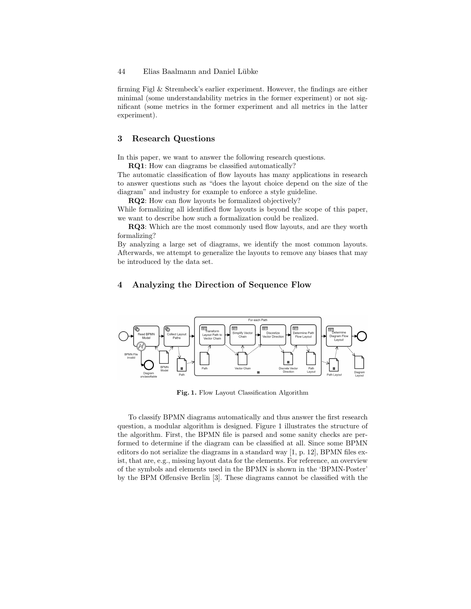# 44 Elias Baalmann and Daniel Lübke

firming Figl & Strembeck's earlier experiment. However, the findings are either minimal (some understandability metrics in the former experiment) or not significant (some metrics in the former experiment and all metrics in the latter experiment).

# 3 Research Questions

In this paper, we want to answer the following research questions.

RQ1: How can diagrams be classified automatically?

The automatic classification of flow layouts has many applications in research to answer questions such as "does the layout choice depend on the size of the diagram" and industry for example to enforce a style guideline.

RQ2: How can flow layouts be formalized objectively?

While formalizing all identified flow layouts is beyond the scope of this paper, we want to describe how such a formalization could be realized.

RQ3: Which are the most commonly used flow layouts, and are they worth formalizing?

By analyzing a large set of diagrams, we identify the most common layouts. Afterwards, we attempt to generalize the layouts to remove any biases that may be introduced by the data set.

# 4 Analyzing the Direction of Sequence Flow



Fig. 1. Flow Layout Classification Algorithm

To classify BPMN diagrams automatically and thus answer the first research question, a modular algorithm is designed. Figure 1 illustrates the structure of the algorithm. First, the BPMN file is parsed and some sanity checks are performed to determine if the diagram can be classified at all. Since some BPMN editors do not serialize the diagrams in a standard way [1, p. 12], BPMN files exist, that are, e.g., missing layout data for the elements. For reference, an overview of the symbols and elements used in the BPMN is shown in the 'BPMN-Poster' by the BPM Offensive Berlin [3]. These diagrams cannot be classified with the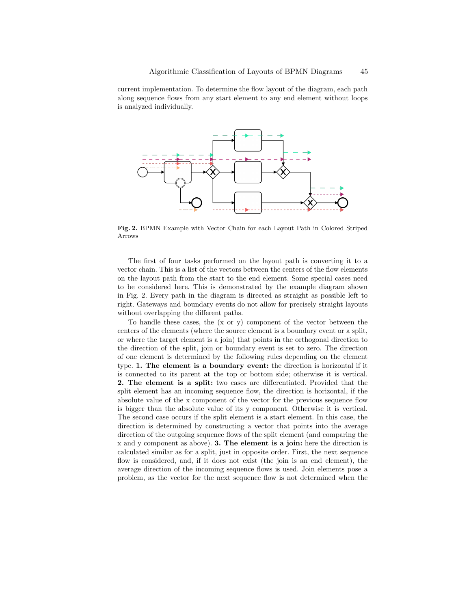current implementation. To determine the flow layout of the diagram, each path along sequence flows from any start element to any end element without loops is analyzed individually.



Fig. 2. BPMN Example with Vector Chain for each Layout Path in Colored Striped Arrows

The first of four tasks performed on the layout path is converting it to a vector chain. This is a list of the vectors between the centers of the flow elements on the layout path from the start to the end element. Some special cases need to be considered here. This is demonstrated by the example diagram shown in Fig. 2. Every path in the diagram is directed as straight as possible left to right. Gateways and boundary events do not allow for precisely straight layouts without overlapping the different paths.

To handle these cases, the  $(x \text{ or } y)$  component of the vector between the centers of the elements (where the source element is a boundary event or a split, or where the target element is a join) that points in the orthogonal direction to the direction of the split, join or boundary event is set to zero. The direction of one element is determined by the following rules depending on the element type. 1. The element is a boundary event: the direction is horizontal if it is connected to its parent at the top or bottom side; otherwise it is vertical. 2. The element is a split: two cases are differentiated. Provided that the split element has an incoming sequence flow, the direction is horizontal, if the absolute value of the x component of the vector for the previous sequence flow is bigger than the absolute value of its y component. Otherwise it is vertical. The second case occurs if the split element is a start element. In this case, the direction is determined by constructing a vector that points into the average direction of the outgoing sequence flows of the split element (and comparing the x and y component as above). 3. The element is a join: here the direction is calculated similar as for a split, just in opposite order. First, the next sequence flow is considered, and, if it does not exist (the join is an end element), the average direction of the incoming sequence flows is used. Join elements pose a problem, as the vector for the next sequence flow is not determined when the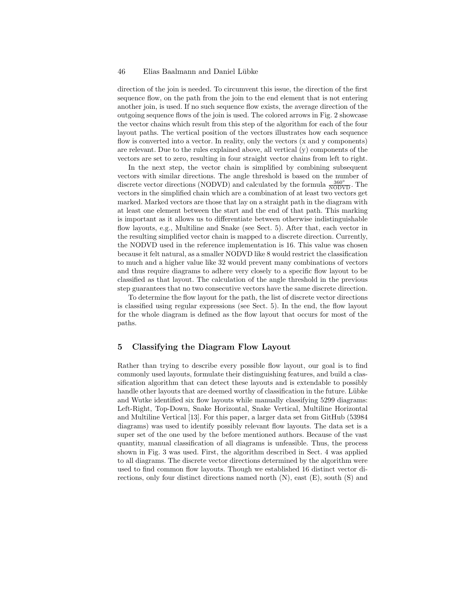#### 46 Elias Baalmann and Daniel Lübke

direction of the join is needed. To circumvent this issue, the direction of the first sequence flow, on the path from the join to the end element that is not entering another join, is used. If no such sequence flow exists, the average direction of the outgoing sequence flows of the join is used. The colored arrows in Fig. 2 showcase the vector chains which result from this step of the algorithm for each of the four layout paths. The vertical position of the vectors illustrates how each sequence flow is converted into a vector. In reality, only the vectors (x and y components) are relevant. Due to the rules explained above, all vertical (y) components of the vectors are set to zero, resulting in four straight vector chains from left to right.

In the next step, the vector chain is simplified by combining subsequent vectors with similar directions. The angle threshold is based on the number of discrete vector directions (NODVD) and calculated by the formula  $\frac{360^{\circ}}{\text{NODVD}}$ . The vectors in the simplified chain which are a combination of at least two vectors get marked. Marked vectors are those that lay on a straight path in the diagram with at least one element between the start and the end of that path. This marking is important as it allows us to differentiate between otherwise indistinguishable flow layouts, e.g., Multiline and Snake (see Sect. 5). After that, each vector in the resulting simplified vector chain is mapped to a discrete direction. Currently, the NODVD used in the reference implementation is 16. This value was chosen because it felt natural, as a smaller NODVD like 8 would restrict the classification to much and a higher value like 32 would prevent many combinations of vectors and thus require diagrams to adhere very closely to a specific flow layout to be classified as that layout. The calculation of the angle threshold in the previous step guarantees that no two consecutive vectors have the same discrete direction.

To determine the flow layout for the path, the list of discrete vector directions is classified using regular expressions (see Sect. 5). In the end, the flow layout for the whole diagram is defined as the flow layout that occurs for most of the paths.

# 5 Classifying the Diagram Flow Layout

Rather than trying to describe every possible flow layout, our goal is to find commonly used layouts, formulate their distinguishing features, and build a classification algorithm that can detect these layouts and is extendable to possibly handle other layouts that are deemed worthy of classification in the future. Lübke and Wutke identified six flow layouts while manually classifying 5299 diagrams: Left-Right, Top-Down, Snake Horizontal, Snake Vertical, Multiline Horizontal and Multiline Vertical [13]. For this paper, a larger data set from GitHub (53984 diagrams) was used to identify possibly relevant flow layouts. The data set is a super set of the one used by the before mentioned authors. Because of the vast quantity, manual classification of all diagrams is unfeasible. Thus, the process shown in Fig. 3 was used. First, the algorithm described in Sect. 4 was applied to all diagrams. The discrete vector directions determined by the algorithm were used to find common flow layouts. Though we established 16 distinct vector directions, only four distinct directions named north (N), east (E), south (S) and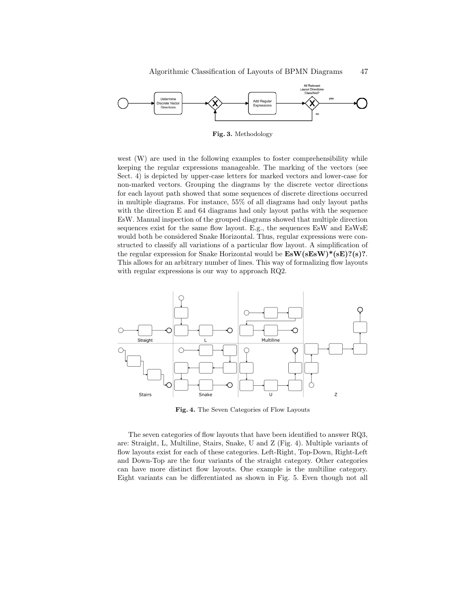

Fig. 3. Methodology

west (W) are used in the following examples to foster comprehensibility while keeping the regular expressions manageable. The marking of the vectors (see Sect. 4) is depicted by upper-case letters for marked vectors and lower-case for non-marked vectors. Grouping the diagrams by the discrete vector directions for each layout path showed that some sequences of discrete directions occurred in multiple diagrams. For instance, 55% of all diagrams had only layout paths with the direction E and 64 diagrams had only layout paths with the sequence EsW. Manual inspection of the grouped diagrams showed that multiple direction sequences exist for the same flow layout. E.g., the sequences EsW and EsWsE would both be considered Snake Horizontal. Thus, regular expressions were constructed to classify all variations of a particular flow layout. A simplification of the regular expression for Snake Horizontal would be  $\text{EsW}(sEsw)*(sE)?(s)?$ . This allows for an arbitrary number of lines. This way of formalizing flow layouts with regular expressions is our way to approach RQ2.



Fig. 4. The Seven Categories of Flow Layouts

The seven categories of flow layouts that have been identified to answer RQ3, are: Straight, L, Multiline, Stairs, Snake, U and Z (Fig. 4). Multiple variants of flow layouts exist for each of these categories. Left-Right, Top-Down, Right-Left and Down-Top are the four variants of the straight category. Other categories can have more distinct flow layouts. One example is the multiline category. Eight variants can be differentiated as shown in Fig. 5. Even though not all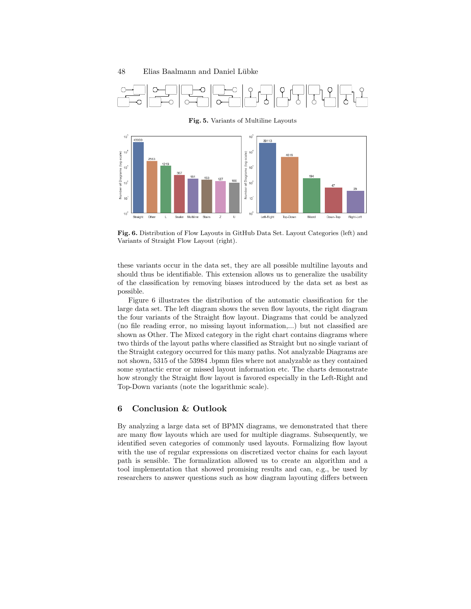



Fig. 6. Distribution of Flow Layouts in GitHub Data Set. Layout Categories (left) and Variants of Straight Flow Layout (right).

these variants occur in the data set, they are all possible multiline layouts and should thus be identifiable. This extension allows us to generalize the usability of the classification by removing biases introduced by the data set as best as possible.

Figure 6 illustrates the distribution of the automatic classification for the large data set. The left diagram shows the seven flow layouts, the right diagram the four variants of the Straight flow layout. Diagrams that could be analyzed (no file reading error, no missing layout information,...) but not classified are shown as Other. The Mixed category in the right chart contains diagrams where two thirds of the layout paths where classified as Straight but no single variant of the Straight category occurred for this many paths. Not analyzable Diagrams are not shown, 5315 of the 53984 .bpmn files where not analyzable as they contained some syntactic error or missed layout information etc. The charts demonstrate how strongly the Straight flow layout is favored especially in the Left-Right and Top-Down variants (note the logarithmic scale).

# 6 Conclusion & Outlook

By analyzing a large data set of BPMN diagrams, we demonstrated that there are many flow layouts which are used for multiple diagrams. Subsequently, we identified seven categories of commonly used layouts. Formalizing flow layout with the use of regular expressions on discretized vector chains for each layout path is sensible. The formalization allowed us to create an algorithm and a tool implementation that showed promising results and can, e.g., be used by researchers to answer questions such as how diagram layouting differs between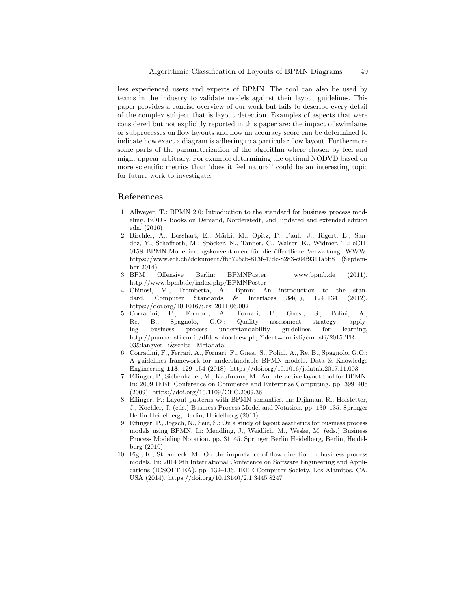less experienced users and experts of BPMN. The tool can also be used by teams in the industry to validate models against their layout guidelines. This paper provides a concise overview of our work but fails to describe every detail of the complex subject that is layout detection. Examples of aspects that were considered but not explicitly reported in this paper are: the impact of swimlanes or subprocesses on flow layouts and how an accuracy score can be determined to indicate how exact a diagram is adhering to a particular flow layout. Furthermore some parts of the parameterization of the algorithm where chosen by feel and might appear arbitrary. For example determining the optimal NODVD based on more scientific metrics than 'does it feel natural' could be an interesting topic for future work to investigate.

#### References

- 1. Allweyer, T.: BPMN 2.0: Introduction to the standard for business process modeling. BOD - Books on Demand, Norderstedt, 2nd, updated and extended edition edn. (2016)
- 2. Birchler, A., Bosshart, E., Märki, M., Opitz, P., Pauli, J., Rigert, B., Sandoz, Y., Schaffroth, M., Spöcker, N., Tanner, C., Walser, K., Widmer, T.: eCH-0158 BPMN-Modellierungskonventionen für die öffentliche Verwaltung. WWW: https://www.ech.ch/dokument/fb5725cb-813f-47dc-8283-c04f9311a5b8 (September 2014)
- 3. BPM Offensive Berlin: BPMNPoster www.bpmb.de (2011), http://www.bpmb.de/index.php/BPMNPoster
- 4. Chinosi, M., Trombetta, A.: Bpmn: An introduction to the standard. Computer Standards & Interfaces 34(1), 124–134 (2012). https://doi.org/10.1016/j.csi.2011.06.002
- 5. Corradini, F., Ferrrari, A., Fornari, F., Gnesi, S., Polini, A., Re, B., Spagnolo, G.O.: Quality assessment strategy: applying business process understandability guidelines for learning, http://pumax.isti.cnr.it/dfdownloadnew.php?ident=cnr.isti/cnr.isti/2015-TR-03&langver=i&scelta=Metadata
- 6. Corradini, F., Ferrari, A., Fornari, F., Gnesi, S., Polini, A., Re, B., Spagnolo, G.O.: A guidelines framework for understandable BPMN models. Data & Knowledge Engineering 113, 129–154 (2018). https://doi.org/10.1016/j.datak.2017.11.003
- 7. Effinger, P., Siebenhaller, M., Kaufmann, M.: An interactive layout tool for BPMN. In: 2009 IEEE Conference on Commerce and Enterprise Computing. pp. 399–406 (2009). https://doi.org/10.1109/CEC.2009.36
- 8. Effinger, P.: Layout patterns with BPMN semantics. In: Dijkman, R., Hofstetter, J., Koehler, J. (eds.) Business Process Model and Notation. pp. 130–135. Springer Berlin Heidelberg, Berlin, Heidelberg (2011)
- 9. Effinger, P., Jogsch, N., Seiz, S.: On a study of layout aesthetics for business process models using BPMN. In: Mendling, J., Weidlich, M., Weske, M. (eds.) Business Process Modeling Notation. pp. 31–45. Springer Berlin Heidelberg, Berlin, Heidelberg (2010)
- 10. Figl, K., Strembeck, M.: On the importance of flow direction in business process models. In: 2014 9th International Conference on Software Engineering and Applications (ICSOFT-EA). pp. 132–136. IEEE Computer Society, Los Alamitos, CA, USA (2014). https://doi.org/10.13140/2.1.3445.8247